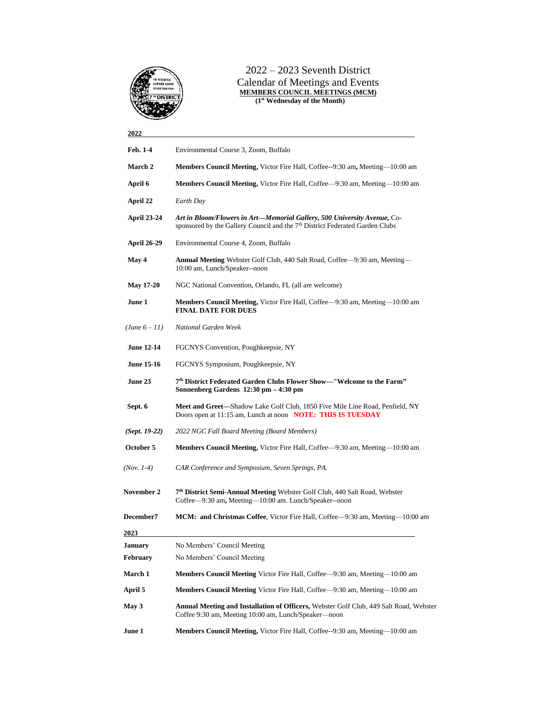

### 2022 – 2023 Seventh District Calendar of Meetings and Events **MEMBERS COUNCIL MEETINGS (MCM) (1st Wednesday of the Month)**

# **2022 Feb. 1-4** Environmental Course 3, Zoom, Buffalo **March 2 Members Council Meeting,** Victor Fire Hall, Coffee--9:30 am**,** Meeting—10:00 am **April 6 Members Council Meeting,** Victor Fire Hall, Coffee—9:30 am, Meeting—10:00 am **April 22** *Earth Day* **April 23-24** *Art in Bloom/Flowers in Art—Memorial Gallery, 500 University Avenue,* Cosponsored by the Gallery Council and the 7<sup>th</sup> District Federated Garden Clubs **April 26-29** Environmental Course 4, Zoom, Buffalo **May 4 Annual Meeting** Webster Golf Club, 440 Salt Road, Coffee—9:30 am, Meeting— 10:00 am, Lunch/Speaker--noon **May 17-20** NGC National Convention, Orlando, FL (all are welcome) **June 1 Members Council Meeting,** Victor Fire Hall, Coffee—9:30 am, Meeting—10:00 am **FINAL DATE FOR DUES** *(June 6 – 11) National Garden Week* **June 12-14** FGCNYS Convention, Poughkeepsie, NY **June 15-16** FGCNYS Symposium, Poughkeepsie, NY **June 23 7 th District Federated Garden Clubs Flower Show—"Welcome to the Farm" Sonnenberg Gardens 12:30 pm – 4:30 pm Sept. 6 Meet and Greet—**Shadow Lake Golf Club, 1850 Five Mile Line Road, Penfield, NY Doors open at 11:15 am, Lunch at noon **NOTE: THIS IS TUESDAY** *(Sept. 19-22) 2022 NGC Fall Board Meeting (Board Members)* **October 5 Members Council Meeting,** Victor Fire Hall, Coffee—9:30 am, Meeting—10:00 am *(Nov. 1-4) CAR Conference and Symposium, Seven Springs, PA.* **November 2 th District Semi-Annual Meeting** Webster Golf Club, 440 Salt Road, Webster Coffee—9:30 am**,** Meeting—10:00 am. Lunch/Speaker--noon **December7 MCM: and Christmas Coffee**, Victor Fire Hall, Coffee—9:30 am, Meeting—10:00 am **2023 January** No Members' Council Meeting **February** No Members' Council Meeting **March 1 Members Council Meeting** Victor Fire Hall, Coffee—9:30 am, Meeting—10:00 am **April 5 Members Council Meeting** Victor Fire Hall, Coffee—9:30 am, Meeting—10:00 am **May 3 Annual Meeting and Installation of Officers,** Webster Golf Club, 449 Salt Road, Webster Coffee 9:30 am, Meeting 10:00 am, Lunch/Speaker—noon

**June 1 Members Council Meeting,** Victor Fire Hall, Coffee--9:30 am, Meeting—10:00 am